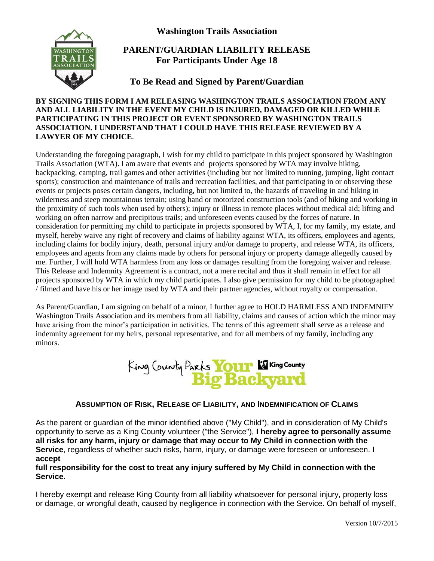**Washington Trails Association**



# **PARENT/GUARDIAN LIABILITY RELEASE For Participants Under Age 18**

# **To Be Read and Signed by Parent/Guardian**

#### **BY SIGNING THIS FORM I AM RELEASING WASHINGTON TRAILS ASSOCIATION FROM ANY AND ALL LIABILITY IN THE EVENT MY CHILD IS INJURED, DAMAGED OR KILLED WHILE PARTICIPATING IN THIS PROJECT OR EVENT SPONSORED BY WASHINGTON TRAILS ASSOCIATION. I UNDERSTAND THAT I COULD HAVE THIS RELEASE REVIEWED BY A LAWYER OF MY CHOICE**.

Understanding the foregoing paragraph, I wish for my child to participate in this project sponsored by Washington Trails Association (WTA). I am aware that events and projects sponsored by WTA may involve hiking, backpacking, camping, trail games and other activities (including but not limited to running, jumping, light contact sports); construction and maintenance of trails and recreation facilities, and that participating in or observing these events or projects poses certain dangers, including, but not limited to, the hazards of traveling in and hiking in wilderness and steep mountainous terrain; using hand or motorized construction tools (and of hiking and working in the proximity of such tools when used by others); injury or illness in remote places without medical aid; lifting and working on often narrow and precipitous trails; and unforeseen events caused by the forces of nature. In consideration for permitting my child to participate in projects sponsored by WTA, I, for my family, my estate, and myself, hereby waive any right of recovery and claims of liability against WTA, its officers, employees and agents, including claims for bodily injury, death, personal injury and/or damage to property, and release WTA, its officers, employees and agents from any claims made by others for personal injury or property damage allegedly caused by me. Further, I will hold WTA harmless from any loss or damages resulting from the foregoing waiver and release. This Release and Indemnity Agreement is a contract, not a mere recital and thus it shall remain in effect for all projects sponsored by WTA in which my child participates. I also give permission for my child to be photographed / filmed and have his or her image used by WTA and their partner agencies, without royalty or compensation.

As Parent/Guardian, I am signing on behalf of a minor, I further agree to HOLD HARMLESS AND INDEMNIFY Washington Trails Association and its members from all liability, claims and causes of action which the minor may have arising from the minor's participation in activities. The terms of this agreement shall serve as a release and indemnity agreement for my heirs, personal representative, and for all members of my family, including any minors.



### **ASSUMPTION OF RISK, RELEASE OF LIABILITY, AND INDEMNIFICATION OF CLAIMS**

As the parent or guardian of the minor identified above ("My Child"), and in consideration of My Child's opportunity to serve as a King County volunteer ("the Service"), **I hereby agree to personally assume all risks for any harm, injury or damage that may occur to My Child in connection with the Service**, regardless of whether such risks, harm, injury, or damage were foreseen or unforeseen. **I accept**

### **full responsibility for the cost to treat any injury suffered by My Child in connection with the Service.**

I hereby exempt and release King County from all liability whatsoever for personal injury, property loss or damage, or wrongful death, caused by negligence in connection with the Service. On behalf of myself,